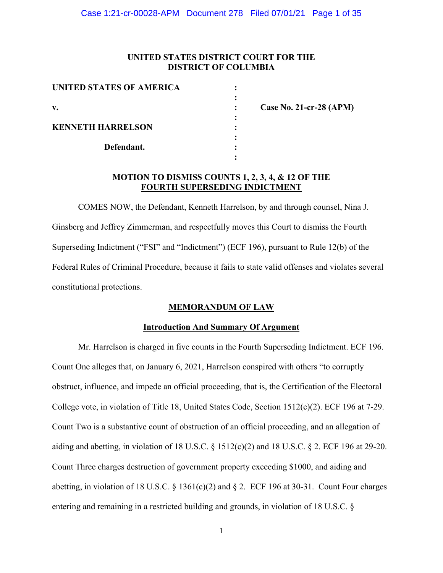# **UNITED STATES DISTRICT COURT FOR THE DISTRICT OF COLUMBIA**

| <b>UNITED STATES OF AMERICA</b> |  |
|---------------------------------|--|
|                                 |  |
| V.                              |  |
|                                 |  |
| <b>KENNETH HARRELSON</b>        |  |
|                                 |  |
| Defendant.                      |  |
|                                 |  |

**v. : Case No. 21-cr-28 (APM)** 

# **MOTION TO DISMISS COUNTS 1, 2, 3, 4, & 12 OF THE FOURTH SUPERSEDING INDICTMENT**

COMES NOW, the Defendant, Kenneth Harrelson, by and through counsel, Nina J. Ginsberg and Jeffrey Zimmerman, and respectfully moves this Court to dismiss the Fourth Superseding Indictment ("FSI" and "Indictment") (ECF 196), pursuant to Rule 12(b) of the Federal Rules of Criminal Procedure, because it fails to state valid offenses and violates several constitutional protections.

# **MEMORANDUM OF LAW**

# **Introduction And Summary Of Argument**

 Mr. Harrelson is charged in five counts in the Fourth Superseding Indictment. ECF 196. Count One alleges that, on January 6, 2021, Harrelson conspired with others "to corruptly obstruct, influence, and impede an official proceeding, that is, the Certification of the Electoral College vote, in violation of Title 18, United States Code, Section 1512(c)(2). ECF 196 at 7-29. Count Two is a substantive count of obstruction of an official proceeding, and an allegation of aiding and abetting, in violation of 18 U.S.C.  $\S$  1512(c)(2) and 18 U.S.C.  $\S$  2. ECF 196 at 29-20. Count Three charges destruction of government property exceeding \$1000, and aiding and abetting, in violation of 18 U.S.C.  $\S$  1361(c)(2) and  $\S$  2. ECF 196 at 30-31. Count Four charges entering and remaining in a restricted building and grounds, in violation of 18 U.S.C. §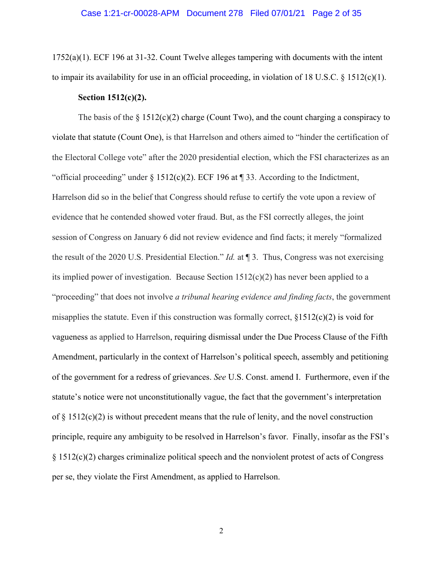1752(a)(1). ECF 196 at 31-32. Count Twelve alleges tampering with documents with the intent to impair its availability for use in an official proceeding, in violation of 18 U.S.C. § 1512(c)(1).

## **Section 1512(c)(2).**

The basis of the  $\S 1512(c)(2)$  charge (Count Two), and the count charging a conspiracy to violate that statute (Count One), is that Harrelson and others aimed to "hinder the certification of the Electoral College vote" after the 2020 presidential election, which the FSI characterizes as an "official proceeding" under  $\S 1512(c)(2)$ . ECF 196 at ¶ 33. According to the Indictment, Harrelson did so in the belief that Congress should refuse to certify the vote upon a review of evidence that he contended showed voter fraud. But, as the FSI correctly alleges, the joint session of Congress on January 6 did not review evidence and find facts; it merely "formalized the result of the 2020 U.S. Presidential Election." *Id.* at ¶ 3. Thus, Congress was not exercising its implied power of investigation. Because Section  $1512(c)(2)$  has never been applied to a "proceeding" that does not involve *a tribunal hearing evidence and finding facts*, the government misapplies the statute. Even if this construction was formally correct,  $\S1512(c)(2)$  is void for vagueness as applied to Harrelson, requiring dismissal under the Due Process Clause of the Fifth Amendment, particularly in the context of Harrelson's political speech, assembly and petitioning of the government for a redress of grievances. *See* U.S. Const. amend I. Furthermore, even if the statute's notice were not unconstitutionally vague, the fact that the government's interpretation of  $\S 1512(c)(2)$  is without precedent means that the rule of lenity, and the novel construction principle, require any ambiguity to be resolved in Harrelson's favor. Finally, insofar as the FSI's § 1512(c)(2) charges criminalize political speech and the nonviolent protest of acts of Congress per se, they violate the First Amendment, as applied to Harrelson.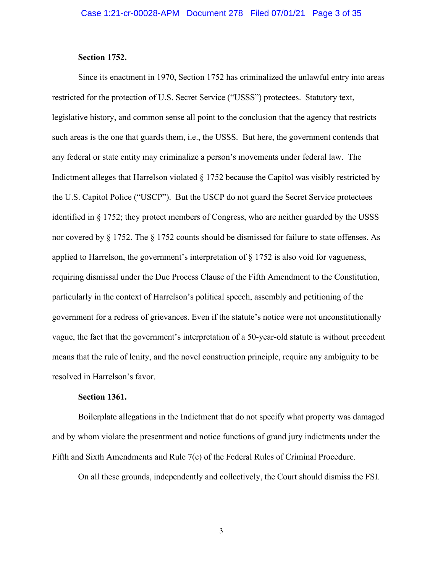## **Section 1752.**

Since its enactment in 1970, Section 1752 has criminalized the unlawful entry into areas restricted for the protection of U.S. Secret Service ("USSS") protectees. Statutory text, legislative history, and common sense all point to the conclusion that the agency that restricts such areas is the one that guards them, i.e., the USSS. But here, the government contends that any federal or state entity may criminalize a person's movements under federal law. The Indictment alleges that Harrelson violated § 1752 because the Capitol was visibly restricted by the U.S. Capitol Police ("USCP"). But the USCP do not guard the Secret Service protectees identified in § 1752; they protect members of Congress, who are neither guarded by the USSS nor covered by § 1752. The § 1752 counts should be dismissed for failure to state offenses. As applied to Harrelson, the government's interpretation of  $\S 1752$  is also void for vagueness, requiring dismissal under the Due Process Clause of the Fifth Amendment to the Constitution, particularly in the context of Harrelson's political speech, assembly and petitioning of the government for a redress of grievances. Even if the statute's notice were not unconstitutionally vague, the fact that the government's interpretation of a 50-year-old statute is without precedent means that the rule of lenity, and the novel construction principle, require any ambiguity to be resolved in Harrelson's favor.

## **Section 1361.**

Boilerplate allegations in the Indictment that do not specify what property was damaged and by whom violate the presentment and notice functions of grand jury indictments under the Fifth and Sixth Amendments and Rule 7(c) of the Federal Rules of Criminal Procedure.

On all these grounds, independently and collectively, the Court should dismiss the FSI.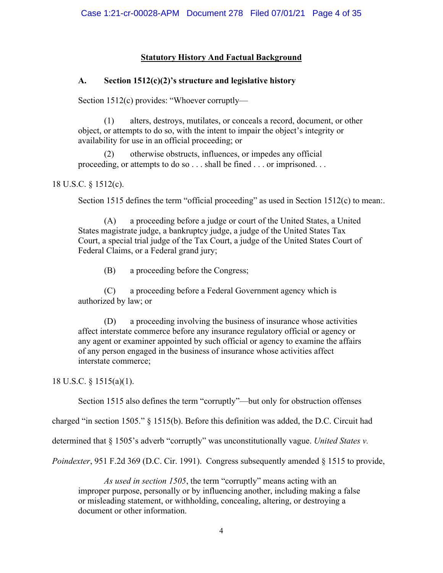# **Statutory History And Factual Background**

# **A. Section 1512(c)(2)'s structure and legislative history**

Section 1512(c) provides: "Whoever corruptly—

(1) alters, destroys, mutilates, or conceals a record, document, or other object, or attempts to do so, with the intent to impair the object's integrity or availability for use in an official proceeding; or

(2) otherwise obstructs, influences, or impedes any official proceeding, or attempts to do so . . . shall be fined . . . or imprisoned. . .

18 U.S.C. § 1512(c).

Section 1515 defines the term "official proceeding" as used in Section 1512(c) to mean.

(A) a proceeding before a judge or court of the United States, a United States magistrate judge, a bankruptcy judge, a judge of the United States Tax Court, a special trial judge of the Tax Court, a judge of the United States Court of Federal Claims, or a Federal grand jury;

(B) a proceeding before the Congress;

(C) a proceeding before a Federal Government agency which is authorized by law; or

(D) a proceeding involving the business of insurance whose activities affect interstate commerce before any insurance regulatory official or agency or any agent or examiner appointed by such official or agency to examine the affairs of any person engaged in the business of insurance whose activities affect interstate commerce;

18 U.S.C. § 1515(a)(1).

Section 1515 also defines the term "corruptly"—but only for obstruction offenses

charged "in section 1505." § 1515(b). Before this definition was added, the D.C. Circuit had

determined that § 1505's adverb "corruptly" was unconstitutionally vague. *United States v.* 

*Poindexter*, 951 F.2d 369 (D.C. Cir. 1991). Congress subsequently amended § 1515 to provide,

*As used in section 1505*, the term "corruptly" means acting with an improper purpose, personally or by influencing another, including making a false or misleading statement, or withholding, concealing, altering, or destroying a document or other information.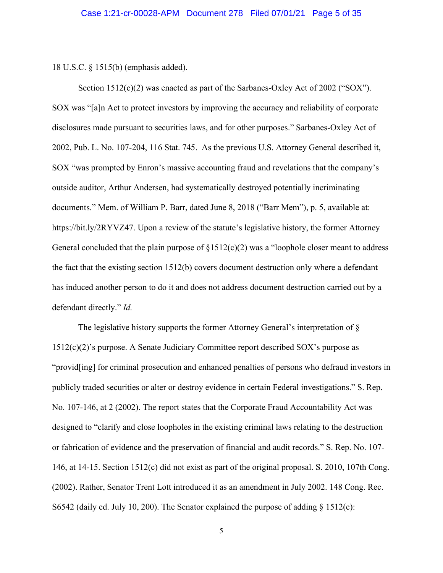18 U.S.C. § 1515(b) (emphasis added).

Section  $1512(c)(2)$  was enacted as part of the Sarbanes-Oxley Act of 2002 ("SOX"). SOX was "[a]n Act to protect investors by improving the accuracy and reliability of corporate disclosures made pursuant to securities laws, and for other purposes." Sarbanes-Oxley Act of 2002, Pub. L. No. 107-204, 116 Stat. 745. As the previous U.S. Attorney General described it, SOX "was prompted by Enron's massive accounting fraud and revelations that the company's outside auditor, Arthur Andersen, had systematically destroyed potentially incriminating documents." Mem. of William P. Barr, dated June 8, 2018 ("Barr Mem"), p. 5, available at: https://bit.ly/2RYVZ47. Upon a review of the statute's legislative history, the former Attorney General concluded that the plain purpose of  $\S1512(c)(2)$  was a "loophole closer meant to address the fact that the existing section 1512(b) covers document destruction only where a defendant has induced another person to do it and does not address document destruction carried out by a defendant directly." *Id.*

The legislative history supports the former Attorney General's interpretation of § 1512(c)(2)'s purpose. A Senate Judiciary Committee report described SOX's purpose as "provid[ing] for criminal prosecution and enhanced penalties of persons who defraud investors in publicly traded securities or alter or destroy evidence in certain Federal investigations." S. Rep. No. 107-146, at 2 (2002). The report states that the Corporate Fraud Accountability Act was designed to "clarify and close loopholes in the existing criminal laws relating to the destruction or fabrication of evidence and the preservation of financial and audit records." S. Rep. No. 107- 146, at 14-15. Section 1512(c) did not exist as part of the original proposal. S. 2010, 107th Cong. (2002). Rather, Senator Trent Lott introduced it as an amendment in July 2002. 148 Cong. Rec. S6542 (daily ed. July 10, 200). The Senator explained the purpose of adding  $\S$  1512(c):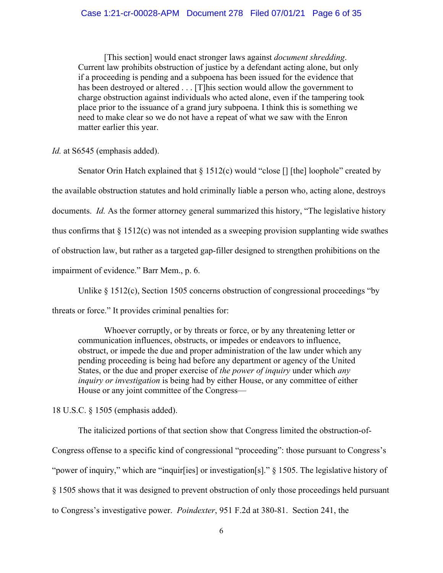[This section] would enact stronger laws against *document shredding*. Current law prohibits obstruction of justice by a defendant acting alone, but only if a proceeding is pending and a subpoena has been issued for the evidence that has been destroyed or altered . . . [T]his section would allow the government to charge obstruction against individuals who acted alone, even if the tampering took place prior to the issuance of a grand jury subpoena. I think this is something we need to make clear so we do not have a repeat of what we saw with the Enron matter earlier this year.

*Id.* at S6545 (emphasis added).

Senator Orin Hatch explained that  $\S 1512(c)$  would "close [] [the] loophole" created by the available obstruction statutes and hold criminally liable a person who, acting alone, destroys documents. *Id.* As the former attorney general summarized this history, "The legislative history thus confirms that  $\S 1512(c)$  was not intended as a sweeping provision supplanting wide swathes of obstruction law, but rather as a targeted gap-filler designed to strengthen prohibitions on the impairment of evidence." Barr Mem., p. 6.

Unlike  $\S 1512(c)$ , Section 1505 concerns obstruction of congressional proceedings "by threats or force." It provides criminal penalties for:

Whoever corruptly, or by threats or force, or by any threatening letter or communication influences, obstructs, or impedes or endeavors to influence, obstruct, or impede the due and proper administration of the law under which any pending proceeding is being had before any department or agency of the United States, or the due and proper exercise of *the power of inquiry* under which *any inquiry or investigation* is being had by either House, or any committee of either House or any joint committee of the Congress—

18 U.S.C. § 1505 (emphasis added).

The italicized portions of that section show that Congress limited the obstruction-of-Congress offense to a specific kind of congressional "proceeding": those pursuant to Congress's "power of inquiry," which are "inquir[ies] or investigation[s]." § 1505. The legislative history of § 1505 shows that it was designed to prevent obstruction of only those proceedings held pursuant to Congress's investigative power. *Poindexter*, 951 F.2d at 380-81. Section 241, the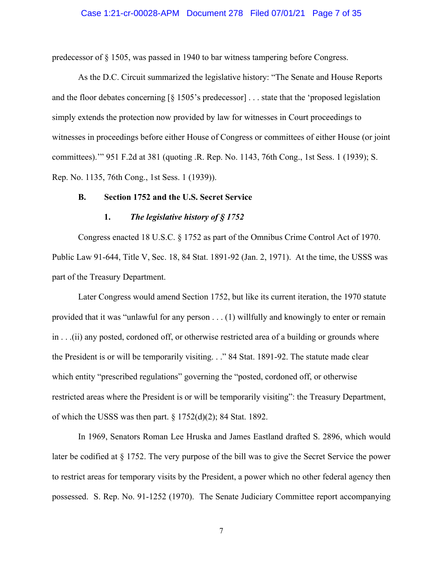### Case 1:21-cr-00028-APM Document 278 Filed 07/01/21 Page 7 of 35

predecessor of § 1505, was passed in 1940 to bar witness tampering before Congress.

As the D.C. Circuit summarized the legislative history: "The Senate and House Reports and the floor debates concerning [§ 1505's predecessor] . . . state that the 'proposed legislation simply extends the protection now provided by law for witnesses in Court proceedings to witnesses in proceedings before either House of Congress or committees of either House (or joint committees).'" 951 F.2d at 381 (quoting .R. Rep. No. 1143, 76th Cong., 1st Sess. 1 (1939); S. Rep. No. 1135, 76th Cong., 1st Sess. 1 (1939)).

## **B. Section 1752 and the U.S. Secret Service**

## **1.** *The legislative history of § 1752*

Congress enacted 18 U.S.C. § 1752 as part of the Omnibus Crime Control Act of 1970. Public Law 91-644, Title V, Sec. 18, 84 Stat. 1891-92 (Jan. 2, 1971). At the time, the USSS was part of the Treasury Department.

Later Congress would amend Section 1752, but like its current iteration, the 1970 statute provided that it was "unlawful for any person . . . (1) willfully and knowingly to enter or remain in . . .(ii) any posted, cordoned off, or otherwise restricted area of a building or grounds where the President is or will be temporarily visiting. . ." 84 Stat. 1891-92. The statute made clear which entity "prescribed regulations" governing the "posted, cordoned off, or otherwise restricted areas where the President is or will be temporarily visiting": the Treasury Department, of which the USSS was then part.  $\S 1752(d)(2)$ ; 84 Stat. 1892.

In 1969, Senators Roman Lee Hruska and James Eastland drafted S. 2896, which would later be codified at § 1752. The very purpose of the bill was to give the Secret Service the power to restrict areas for temporary visits by the President, a power which no other federal agency then possessed. S. Rep. No. 91-1252 (1970). The Senate Judiciary Committee report accompanying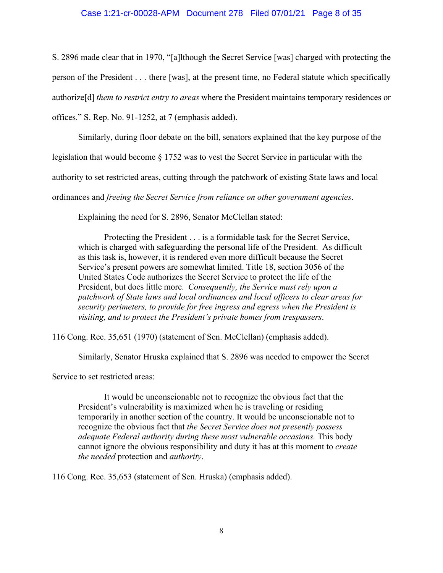## Case 1:21-cr-00028-APM Document 278 Filed 07/01/21 Page 8 of 35

S. 2896 made clear that in 1970, "[a]lthough the Secret Service [was] charged with protecting the person of the President . . . there [was], at the present time, no Federal statute which specifically authorize[d] *them to restrict entry to areas* where the President maintains temporary residences or offices." S. Rep. No. 91-1252, at 7 (emphasis added).

Similarly, during floor debate on the bill, senators explained that the key purpose of the

legislation that would become § 1752 was to vest the Secret Service in particular with the

authority to set restricted areas, cutting through the patchwork of existing State laws and local

ordinances and *freeing the Secret Service from reliance on other government agencies*.

Explaining the need for S. 2896, Senator McClellan stated:

Protecting the President . . . is a formidable task for the Secret Service, which is charged with safeguarding the personal life of the President. As difficult as this task is, however, it is rendered even more difficult because the Secret Service's present powers are somewhat limited. Title 18, section 3056 of the United States Code authorizes the Secret Service to protect the life of the President, but does little more. *Consequently, the Service must rely upon a patchwork of State laws and local ordinances and local officers to clear areas for security perimeters, to provide for free ingress and egress when the President is visiting, and to protect the President's private homes from trespassers*.

116 Cong. Rec. 35,651 (1970) (statement of Sen. McClellan) (emphasis added).

Similarly, Senator Hruska explained that S. 2896 was needed to empower the Secret

Service to set restricted areas:

It would be unconscionable not to recognize the obvious fact that the President's vulnerability is maximized when he is traveling or residing temporarily in another section of the country. It would be unconscionable not to recognize the obvious fact that *the Secret Service does not presently possess adequate Federal authority during these most vulnerable occasions.* This body cannot ignore the obvious responsibility and duty it has at this moment to *create the needed* protection and *authority*.

116 Cong. Rec. 35,653 (statement of Sen. Hruska) (emphasis added).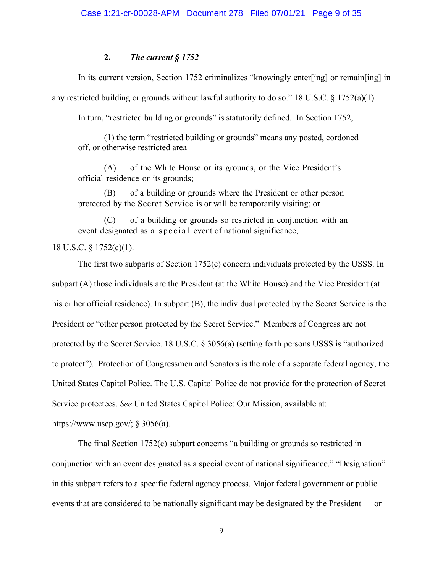## **2.** *The current § 1752*

In its current version, Section 1752 criminalizes "knowingly enter[ing] or remain[ing] in any restricted building or grounds without lawful authority to do so." 18 U.S.C.  $\S$  1752(a)(1).

In turn, "restricted building or grounds" is statutorily defined. In Section 1752,

(1) the term "restricted building or grounds" means any posted, cordoned off, or otherwise restricted area—

(A) of the White House or its grounds, or the Vice President's official residence or its grounds;

(B) of a building or grounds where the President or other person protected by the Secret Service is or will be temporarily visiting; or

(C) of a building or grounds so restricted in conjunction with an event designated as a special event of national significance;

## 18 U.S.C. § 1752(c)(1).

The first two subparts of Section 1752(c) concern individuals protected by the USSS. In subpart (A) those individuals are the President (at the White House) and the Vice President (at his or her official residence). In subpart (B), the individual protected by the Secret Service is the President or "other person protected by the Secret Service." Members of Congress are not protected by the Secret Service. 18 U.S.C. § 3056(a) (setting forth persons USSS is "authorized to protect"). Protection of Congressmen and Senators is the role of a separate federal agency, the United States Capitol Police. The U.S. Capitol Police do not provide for the protection of Secret Service protectees. *See* United States Capitol Police: Our Mission, available at:

https://www.uscp.gov/;  $\S 3056(a)$ .

The final Section 1752(c) subpart concerns "a building or grounds so restricted in conjunction with an event designated as a special event of national significance." "Designation" in this subpart refers to a specific federal agency process. Major federal government or public events that are considered to be nationally significant may be designated by the President — or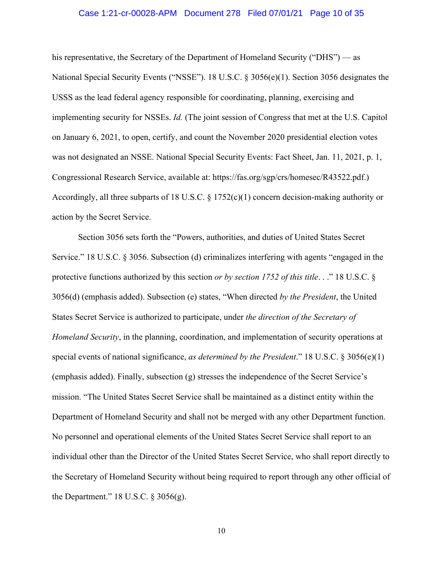### Case 1:21-cr-00028-APM Document 278 Filed 07/01/21 Page 10 of 35

his representative, the Secretary of the Department of Homeland Security ("DHS") — as National Special Security Events ("NSSE"). 18 U.S.C. § 3056(e)(1). Section 3056 designates the USSS as the lead federal agency responsible for coordinating, planning, exercising and implementing security for NSSEs. *Id.* (The joint session of Congress that met at the U.S. Capitol on January 6, 2021, to open, certify, and count the November 2020 presidential election votes was not designated an NSSE. National Special Security Events: Fact Sheet, Jan. 11, 2021, p. 1, Congressional Research Service, available at: https://fas.org/sgp/crs/homesec/R43522.pdf.) Accordingly, all three subparts of 18 U.S.C. § 1752(c)(1) concern decision-making authority or action by the Secret Service.

Section 3056 sets forth the "Powers, authorities, and duties of United States Secret Service." 18 U.S.C. § 3056. Subsection (d) criminalizes interfering with agents "engaged in the protective functions authorized by this section *or by section 1752 of this title*. . ." 18 U.S.C. § 3056(d) (emphasis added). Subsection (e) states, "When directed *by the President*, the United States Secret Service is authorized to participate, under *the direction of the Secretary of Homeland Security*, in the planning, coordination, and implementation of security operations at special events of national significance, *as determined by the President*." 18 U.S.C. § 3056(e)(1) (emphasis added). Finally, subsection (g) stresses the independence of the Secret Service's mission. "The United States Secret Service shall be maintained as a distinct entity within the Department of Homeland Security and shall not be merged with any other Department function. No personnel and operational elements of the United States Secret Service shall report to an individual other than the Director of the United States Secret Service, who shall report directly to the Secretary of Homeland Security without being required to report through any other official of the Department." 18 U.S.C. § 3056(g).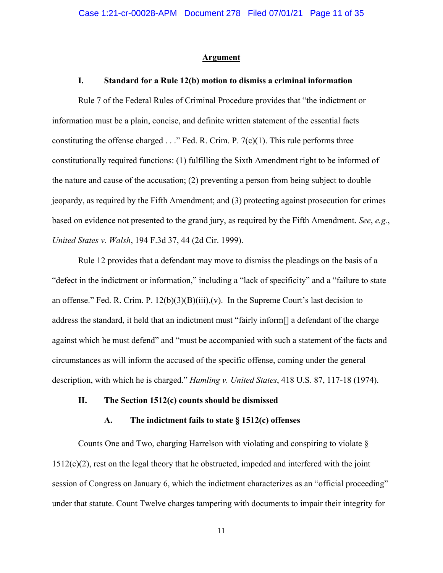#### **Argument**

## **I. Standard for a Rule 12(b) motion to dismiss a criminal information**

Rule 7 of the Federal Rules of Criminal Procedure provides that "the indictment or information must be a plain, concise, and definite written statement of the essential facts constituting the offense charged  $\ldots$ " Fed. R. Crim. P. 7(c)(1). This rule performs three constitutionally required functions: (1) fulfilling the Sixth Amendment right to be informed of the nature and cause of the accusation; (2) preventing a person from being subject to double jeopardy, as required by the Fifth Amendment; and (3) protecting against prosecution for crimes based on evidence not presented to the grand jury, as required by the Fifth Amendment. *See*, *e.g.*, *United States v. Walsh*, 194 F.3d 37, 44 (2d Cir. 1999).

Rule 12 provides that a defendant may move to dismiss the pleadings on the basis of a "defect in the indictment or information," including a "lack of specificity" and a "failure to state an offense." Fed. R. Crim. P.  $12(b)(3)(B)(iii)(v)$ . In the Supreme Court's last decision to address the standard, it held that an indictment must "fairly inform[] a defendant of the charge against which he must defend" and "must be accompanied with such a statement of the facts and circumstances as will inform the accused of the specific offense, coming under the general description, with which he is charged." *Hamling v. United States*, 418 U.S. 87, 117-18 (1974).

#### **II. The Section 1512(c) counts should be dismissed**

### **A. The indictment fails to state § 1512(c) offenses**

Counts One and Two, charging Harrelson with violating and conspiring to violate  $\S$  $1512(c)(2)$ , rest on the legal theory that he obstructed, impeded and interfered with the joint session of Congress on January 6, which the indictment characterizes as an "official proceeding" under that statute. Count Twelve charges tampering with documents to impair their integrity for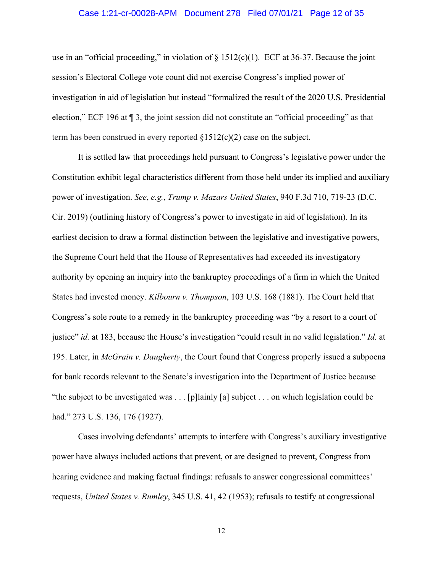## Case 1:21-cr-00028-APM Document 278 Filed 07/01/21 Page 12 of 35

use in an "official proceeding," in violation of  $\S$  1512(c)(1). ECF at 36-37. Because the joint session's Electoral College vote count did not exercise Congress's implied power of investigation in aid of legislation but instead "formalized the result of the 2020 U.S. Presidential election," ECF 196 at ¶ 3, the joint session did not constitute an "official proceeding" as that term has been construed in every reported  $\S1512(c)(2)$  case on the subject.

It is settled law that proceedings held pursuant to Congress's legislative power under the Constitution exhibit legal characteristics different from those held under its implied and auxiliary power of investigation. *See*, *e.g.*, *Trump v. Mazars United States*, 940 F.3d 710, 719-23 (D.C. Cir. 2019) (outlining history of Congress's power to investigate in aid of legislation). In its earliest decision to draw a formal distinction between the legislative and investigative powers, the Supreme Court held that the House of Representatives had exceeded its investigatory authority by opening an inquiry into the bankruptcy proceedings of a firm in which the United States had invested money. *Kilbourn v. Thompson*, 103 U.S. 168 (1881). The Court held that Congress's sole route to a remedy in the bankruptcy proceeding was "by a resort to a court of justice" *id.* at 183, because the House's investigation "could result in no valid legislation." *Id.* at 195. Later, in *McGrain v. Daugherty*, the Court found that Congress properly issued a subpoena for bank records relevant to the Senate's investigation into the Department of Justice because "the subject to be investigated was . . . [p]lainly [a] subject . . . on which legislation could be had." 273 U.S. 136, 176 (1927).

Cases involving defendants' attempts to interfere with Congress's auxiliary investigative power have always included actions that prevent, or are designed to prevent, Congress from hearing evidence and making factual findings: refusals to answer congressional committees' requests, *United States v. Rumley*, 345 U.S. 41, 42 (1953); refusals to testify at congressional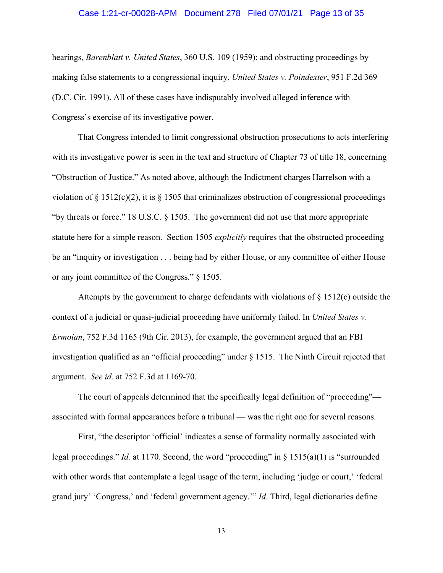### Case 1:21-cr-00028-APM Document 278 Filed 07/01/21 Page 13 of 35

hearings, *Barenblatt v. United States*, 360 U.S. 109 (1959); and obstructing proceedings by making false statements to a congressional inquiry, *United States v. Poindexter*, 951 F.2d 369 (D.C. Cir. 1991). All of these cases have indisputably involved alleged inference with Congress's exercise of its investigative power.

That Congress intended to limit congressional obstruction prosecutions to acts interfering with its investigative power is seen in the text and structure of Chapter 73 of title 18, concerning "Obstruction of Justice." As noted above, although the Indictment charges Harrelson with a violation of  $\S 1512(c)(2)$ , it is  $\S 1505$  that criminalizes obstruction of congressional proceedings "by threats or force." 18 U.S.C. § 1505. The government did not use that more appropriate statute here for a simple reason. Section 1505 *explicitly* requires that the obstructed proceeding be an "inquiry or investigation . . . being had by either House, or any committee of either House or any joint committee of the Congress." § 1505.

Attempts by the government to charge defendants with violations of  $\S 1512(c)$  outside the context of a judicial or quasi-judicial proceeding have uniformly failed. In *United States v. Ermoian*, 752 F.3d 1165 (9th Cir. 2013), for example, the government argued that an FBI investigation qualified as an "official proceeding" under  $\S$  1515. The Ninth Circuit rejected that argument. *See id.* at 752 F.3d at 1169-70.

The court of appeals determined that the specifically legal definition of "proceeding" associated with formal appearances before a tribunal — was the right one for several reasons.

First, "the descriptor 'official' indicates a sense of formality normally associated with legal proceedings." *Id.* at 1170. Second, the word "proceeding" in § 1515(a)(1) is "surrounded with other words that contemplate a legal usage of the term, including 'judge or court,' 'federal grand jury' 'Congress,' and 'federal government agency.'" *Id*. Third, legal dictionaries define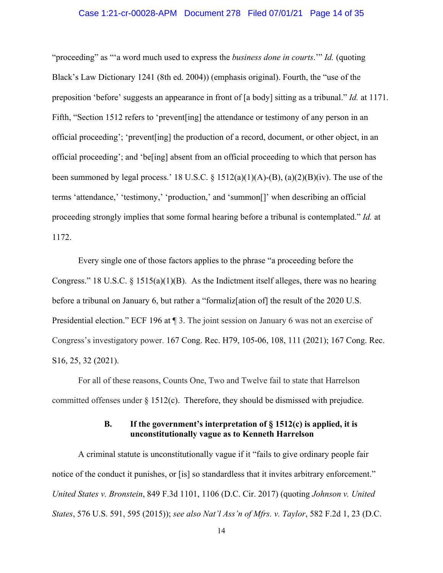## Case 1:21-cr-00028-APM Document 278 Filed 07/01/21 Page 14 of 35

"proceeding" as "'a word much used to express the *business done in courts*.'" *Id.* (quoting Black's Law Dictionary 1241 (8th ed. 2004)) (emphasis original). Fourth, the "use of the preposition 'before' suggests an appearance in front of [a body] sitting as a tribunal." *Id.* at 1171. Fifth, "Section 1512 refers to 'prevent[ing] the attendance or testimony of any person in an official proceeding'; 'prevent[ing] the production of a record, document, or other object, in an official proceeding'; and 'be[ing] absent from an official proceeding to which that person has been summoned by legal process.' 18 U.S.C.  $\S$  1512(a)(1)(A)-(B), (a)(2)(B)(iv). The use of the terms 'attendance,' 'testimony,' 'production,' and 'summon[]' when describing an official proceeding strongly implies that some formal hearing before a tribunal is contemplated." *Id.* at 1172.

Every single one of those factors applies to the phrase "a proceeding before the Congress." 18 U.S.C.  $\S$  1515(a)(1)(B). As the Indictment itself alleges, there was no hearing before a tribunal on January 6, but rather a "formaliz<sup>[ation of]</sup> the result of the 2020 U.S. Presidential election." ECF 196 at  $\P$  3. The joint session on January 6 was not an exercise of Congress's investigatory power. 167 Cong. Rec. H79, 105-06, 108, 111 (2021); 167 Cong. Rec. S16, 25, 32 (2021).

For all of these reasons, Counts One, Two and Twelve fail to state that Harrelson committed offenses under  $\S 1512(c)$ . Therefore, they should be dismissed with prejudice.

## **B. If the government's interpretation of § 1512(c) is applied, it is unconstitutionally vague as to Kenneth Harrelson**

A criminal statute is unconstitutionally vague if it "fails to give ordinary people fair notice of the conduct it punishes, or [is] so standardless that it invites arbitrary enforcement." *United States v. Bronstein*, 849 F.3d 1101, 1106 (D.C. Cir. 2017) (quoting *Johnson v. United States*, 576 U.S. 591, 595 (2015)); *see also Nat'l Ass'n of Mfrs. v. Taylor*, 582 F.2d 1, 23 (D.C.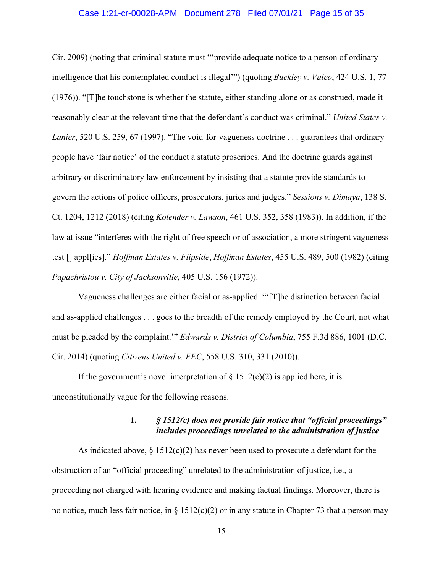## Case 1:21-cr-00028-APM Document 278 Filed 07/01/21 Page 15 of 35

Cir. 2009) (noting that criminal statute must "'provide adequate notice to a person of ordinary intelligence that his contemplated conduct is illegal'") (quoting *Buckley v. Valeo*, 424 U.S. 1, 77 (1976)). "[T]he touchstone is whether the statute, either standing alone or as construed, made it reasonably clear at the relevant time that the defendant's conduct was criminal." *United States v. Lanier*, 520 U.S. 259, 67 (1997). "The void-for-vagueness doctrine . . . guarantees that ordinary people have 'fair notice' of the conduct a statute proscribes. And the doctrine guards against arbitrary or discriminatory law enforcement by insisting that a statute provide standards to govern the actions of police officers, prosecutors, juries and judges." *Sessions v. Dimaya*, 138 S. Ct. 1204, 1212 (2018) (citing *Kolender v. Lawson*, 461 U.S. 352, 358 (1983)). In addition, if the law at issue "interferes with the right of free speech or of association, a more stringent vagueness test [] appl[ies]." *Hoffman Estates v. Flipside*, *Hoffman Estates*, 455 U.S. 489, 500 (1982) (citing *Papachristou v. City of Jacksonville*, 405 U.S. 156 (1972)).

Vagueness challenges are either facial or as-applied. "'[T]he distinction between facial and as-applied challenges . . . goes to the breadth of the remedy employed by the Court, not what must be pleaded by the complaint.'" *Edwards v. District of Columbia*, 755 F.3d 886, 1001 (D.C. Cir. 2014) (quoting *Citizens United v. FEC*, 558 U.S. 310, 331 (2010)).

If the government's novel interpretation of  $\S 1512(c)(2)$  is applied here, it is unconstitutionally vague for the following reasons.

## **1.** *§ 1512(c) does not provide fair notice that "official proceedings" includes proceedings unrelated to the administration of justice*

As indicated above,  $\S 1512(c)(2)$  has never been used to prosecute a defendant for the obstruction of an "official proceeding" unrelated to the administration of justice, i.e., a proceeding not charged with hearing evidence and making factual findings. Moreover, there is no notice, much less fair notice, in  $\S 1512(c)(2)$  or in any statute in Chapter 73 that a person may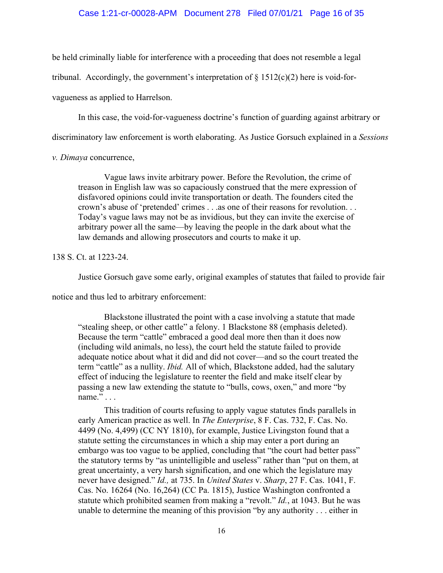## Case 1:21-cr-00028-APM Document 278 Filed 07/01/21 Page 16 of 35

be held criminally liable for interference with a proceeding that does not resemble a legal

tribunal. Accordingly, the government's interpretation of  $\S 1512(c)(2)$  here is void-for-

vagueness as applied to Harrelson.

In this case, the void-for-vagueness doctrine's function of guarding against arbitrary or

discriminatory law enforcement is worth elaborating. As Justice Gorsuch explained in a *Sessions* 

*v. Dimaya* concurrence,

Vague laws invite arbitrary power. Before the Revolution, the crime of treason in English law was so capaciously construed that the mere expression of disfavored opinions could invite transportation or death. The founders cited the crown's abuse of 'pretended' crimes . . .as one of their reasons for revolution. . . Today's vague laws may not be as invidious, but they can invite the exercise of arbitrary power all the same—by leaving the people in the dark about what the law demands and allowing prosecutors and courts to make it up.

138 S. Ct. at 1223-24.

Justice Gorsuch gave some early, original examples of statutes that failed to provide fair

notice and thus led to arbitrary enforcement:

Blackstone illustrated the point with a case involving a statute that made "stealing sheep, or other cattle" a felony. 1 Blackstone 88 (emphasis deleted). Because the term "cattle" embraced a good deal more then than it does now (including wild animals, no less), the court held the statute failed to provide adequate notice about what it did and did not cover—and so the court treated the term "cattle" as a nullity. *Ibid.* All of which, Blackstone added, had the salutary effect of inducing the legislature to reenter the field and make itself clear by passing a new law extending the statute to "bulls, cows, oxen," and more "by name." . . .

This tradition of courts refusing to apply vague statutes finds parallels in early American practice as well. In *The Enterprise*, 8 F. Cas. 732, F. Cas. No. 4499 (No. 4,499) (CC NY 1810), for example, Justice Livingston found that a statute setting the circumstances in which a ship may enter a port during an embargo was too vague to be applied, concluding that "the court had better pass" the statutory terms by "as unintelligible and useless" rather than "put on them, at great uncertainty, a very harsh signification, and one which the legislature may never have designed." *Id.,* at 735. In *United States* v. *Sharp*, 27 F. Cas. 1041, F. Cas. No. 16264 (No. 16,264) (CC Pa. 1815), Justice Washington confronted a statute which prohibited seamen from making a "revolt." *Id.*, at 1043. But he was unable to determine the meaning of this provision "by any authority . . . either in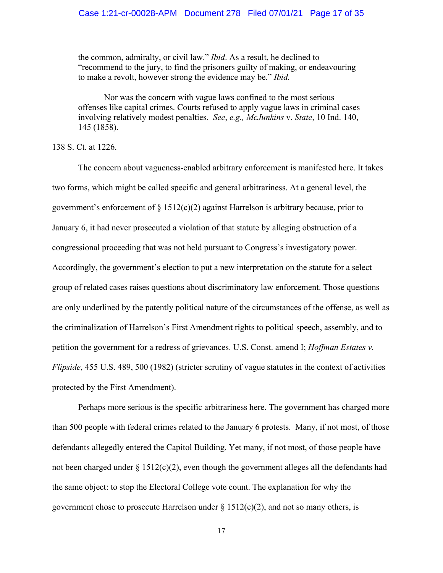the common, admiralty, or civil law." *Ibid*. As a result, he declined to "recommend to the jury, to find the prisoners guilty of making, or endeavouring to make a revolt, however strong the evidence may be." *Ibid.* 

Nor was the concern with vague laws confined to the most serious offenses like capital crimes. Courts refused to apply vague laws in criminal cases involving relatively modest penalties. *See*, *e.g., McJunkins* v. *State*, 10 Ind. 140, 145 (1858).

## 138 S. Ct. at 1226.

The concern about vagueness-enabled arbitrary enforcement is manifested here. It takes two forms, which might be called specific and general arbitrariness. At a general level, the government's enforcement of  $\S 1512(c)(2)$  against Harrelson is arbitrary because, prior to January 6, it had never prosecuted a violation of that statute by alleging obstruction of a congressional proceeding that was not held pursuant to Congress's investigatory power. Accordingly, the government's election to put a new interpretation on the statute for a select group of related cases raises questions about discriminatory law enforcement. Those questions are only underlined by the patently political nature of the circumstances of the offense, as well as the criminalization of Harrelson's First Amendment rights to political speech, assembly, and to petition the government for a redress of grievances. U.S. Const. amend I; *Hoffman Estates v. Flipside*, 455 U.S. 489, 500 (1982) (stricter scrutiny of vague statutes in the context of activities protected by the First Amendment).

Perhaps more serious is the specific arbitrariness here. The government has charged more than 500 people with federal crimes related to the January 6 protests. Many, if not most, of those defendants allegedly entered the Capitol Building. Yet many, if not most, of those people have not been charged under § 1512(c)(2), even though the government alleges all the defendants had the same object: to stop the Electoral College vote count. The explanation for why the government chose to prosecute Harrelson under  $\S 1512(c)(2)$ , and not so many others, is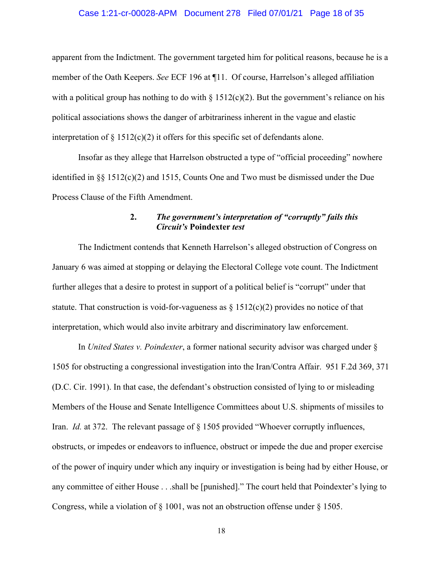### Case 1:21-cr-00028-APM Document 278 Filed 07/01/21 Page 18 of 35

apparent from the Indictment. The government targeted him for political reasons, because he is a member of the Oath Keepers. *See* ECF 196 at ¶11. Of course, Harrelson's alleged affiliation with a political group has nothing to do with  $\S 1512(c)(2)$ . But the government's reliance on his political associations shows the danger of arbitrariness inherent in the vague and elastic interpretation of  $\S 1512(c)(2)$  it offers for this specific set of defendants alone.

Insofar as they allege that Harrelson obstructed a type of "official proceeding" nowhere identified in §§ 1512(c)(2) and 1515, Counts One and Two must be dismissed under the Due Process Clause of the Fifth Amendment.

# **2.** *The government's interpretation of "corruptly" fails this Circuit's* **Poindexter** *test*

The Indictment contends that Kenneth Harrelson's alleged obstruction of Congress on January 6 was aimed at stopping or delaying the Electoral College vote count. The Indictment further alleges that a desire to protest in support of a political belief is "corrupt" under that statute. That construction is void-for-vagueness as  $\S 1512(c)(2)$  provides no notice of that interpretation, which would also invite arbitrary and discriminatory law enforcement.

In *United States v. Poindexter*, a former national security advisor was charged under § 1505 for obstructing a congressional investigation into the Iran/Contra Affair. 951 F.2d 369, 371 (D.C. Cir. 1991). In that case, the defendant's obstruction consisted of lying to or misleading Members of the House and Senate Intelligence Committees about U.S. shipments of missiles to Iran. *Id.* at 372. The relevant passage of  $\S$  1505 provided "Whoever corruptly influences, obstructs, or impedes or endeavors to influence, obstruct or impede the due and proper exercise of the power of inquiry under which any inquiry or investigation is being had by either House, or any committee of either House . . .shall be [punished]." The court held that Poindexter's lying to Congress, while a violation of § 1001, was not an obstruction offense under § 1505.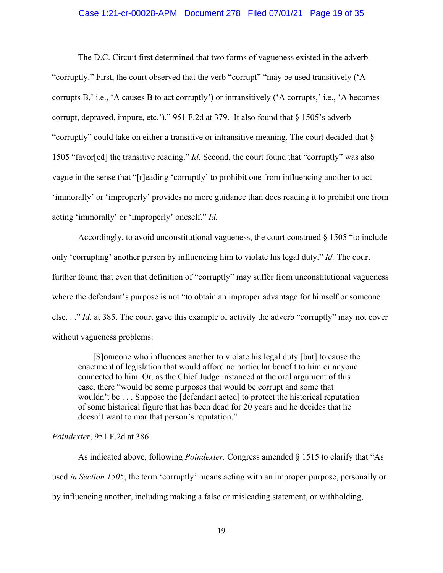## Case 1:21-cr-00028-APM Document 278 Filed 07/01/21 Page 19 of 35

The D.C. Circuit first determined that two forms of vagueness existed in the adverb "corruptly." First, the court observed that the verb "corrupt" "may be used transitively ('A corrupts B,' i.e., 'A causes B to act corruptly') or intransitively ('A corrupts,' i.e., 'A becomes corrupt, depraved, impure, etc.')." 951 F.2d at 379. It also found that § 1505's adverb "corruptly" could take on either a transitive or intransitive meaning. The court decided that § 1505 "favor[ed] the transitive reading." *Id.* Second, the court found that "corruptly" was also vague in the sense that "[r]eading 'corruptly' to prohibit one from influencing another to act 'immorally' or 'improperly' provides no more guidance than does reading it to prohibit one from acting 'immorally' or 'improperly' oneself." *Id.* 

Accordingly, to avoid unconstitutional vagueness, the court construed § 1505 "to include only 'corrupting' another person by influencing him to violate his legal duty." *Id.* The court further found that even that definition of "corruptly" may suffer from unconstitutional vagueness where the defendant's purpose is not "to obtain an improper advantage for himself or someone else. . ." *Id.* at 385. The court gave this example of activity the adverb "corruptly" may not cover without vagueness problems:

 [S]omeone who influences another to violate his legal duty [but] to cause the enactment of legislation that would afford no particular benefit to him or anyone connected to him. Or, as the Chief Judge instanced at the oral argument of this case, there "would be some purposes that would be corrupt and some that wouldn't be . . . Suppose the [defendant acted] to protect the historical reputation of some historical figure that has been dead for 20 years and he decides that he doesn't want to mar that person's reputation."

## *Poindexter*, 951 F.2d at 386.

As indicated above, following *Poindexter,* Congress amended § 1515 to clarify that "As used *in Section 1505*, the term 'corruptly' means acting with an improper purpose, personally or by influencing another, including making a false or misleading statement, or withholding,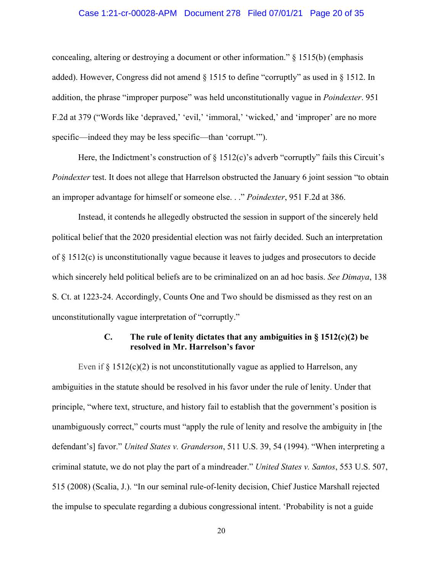## Case 1:21-cr-00028-APM Document 278 Filed 07/01/21 Page 20 of 35

concealing, altering or destroying a document or other information." § 1515(b) (emphasis added). However, Congress did not amend § 1515 to define "corruptly" as used in § 1512. In addition, the phrase "improper purpose" was held unconstitutionally vague in *Poindexter*. 951 F.2d at 379 ("Words like 'depraved,' 'evil,' 'immoral,' 'wicked,' and 'improper' are no more specific—indeed they may be less specific—than 'corrupt.'").

Here, the Indictment's construction of  $\S 1512(c)$ 's adverb "corruptly" fails this Circuit's *Poindexter* test. It does not allege that Harrelson obstructed the January 6 joint session "to obtain an improper advantage for himself or someone else. . ." *Poindexter*, 951 F.2d at 386.

Instead, it contends he allegedly obstructed the session in support of the sincerely held political belief that the 2020 presidential election was not fairly decided. Such an interpretation of  $\S$  1512(c) is unconstitutionally vague because it leaves to judges and prosecutors to decide which sincerely held political beliefs are to be criminalized on an ad hoc basis. *See Dimaya*, 138 S. Ct. at 1223-24. Accordingly, Counts One and Two should be dismissed as they rest on an unconstitutionally vague interpretation of "corruptly."

# **C. The rule of lenity dictates that any ambiguities in § 1512(c)(2) be resolved in Mr. Harrelson's favor**

Even if  $\S 1512(c)(2)$  is not unconstitutionally vague as applied to Harrelson, any ambiguities in the statute should be resolved in his favor under the rule of lenity. Under that principle, "where text, structure, and history fail to establish that the government's position is unambiguously correct," courts must "apply the rule of lenity and resolve the ambiguity in [the defendant's] favor." *United States v. Granderson*, 511 U.S. 39, 54 (1994). "When interpreting a criminal statute, we do not play the part of a mindreader." *United States v. Santos*, 553 U.S. 507, 515 (2008) (Scalia, J.). "In our seminal rule-of-lenity decision, Chief Justice Marshall rejected the impulse to speculate regarding a dubious congressional intent. 'Probability is not a guide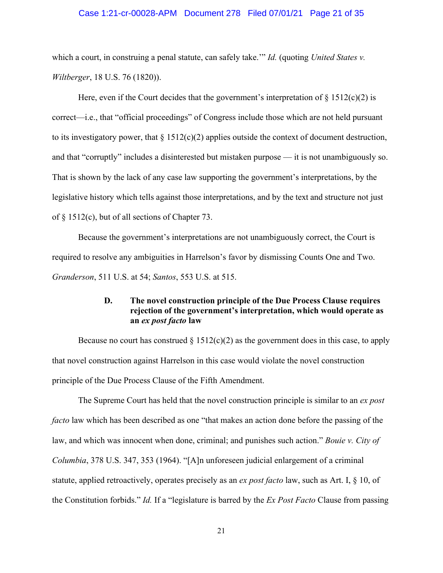## Case 1:21-cr-00028-APM Document 278 Filed 07/01/21 Page 21 of 35

which a court, in construing a penal statute, can safely take." *Id.* (quoting *United States v. Wiltberger*, 18 U.S. 76 (1820)).

Here, even if the Court decides that the government's interpretation of  $\S 1512(c)(2)$  is correct—i.e., that "official proceedings" of Congress include those which are not held pursuant to its investigatory power, that  $\S 1512(c)(2)$  applies outside the context of document destruction, and that "corruptly" includes a disinterested but mistaken purpose — it is not unambiguously so. That is shown by the lack of any case law supporting the government's interpretations, by the legislative history which tells against those interpretations, and by the text and structure not just of § 1512(c), but of all sections of Chapter 73.

Because the government's interpretations are not unambiguously correct, the Court is required to resolve any ambiguities in Harrelson's favor by dismissing Counts One and Two. *Granderson*, 511 U.S. at 54; *Santos*, 553 U.S. at 515.

# **D. The novel construction principle of the Due Process Clause requires rejection of the government's interpretation, which would operate as an** *ex post facto* **law**

Because no court has construed  $\S 1512(c)(2)$  as the government does in this case, to apply that novel construction against Harrelson in this case would violate the novel construction principle of the Due Process Clause of the Fifth Amendment.

The Supreme Court has held that the novel construction principle is similar to an *ex post facto* law which has been described as one "that makes an action done before the passing of the law, and which was innocent when done, criminal; and punishes such action." *Bouie v. City of Columbia*, 378 U.S. 347, 353 (1964). "[A]n unforeseen judicial enlargement of a criminal statute, applied retroactively, operates precisely as an *ex post facto* law, such as Art. I, § 10, of the Constitution forbids." *Id.* If a "legislature is barred by the *Ex Post Facto* Clause from passing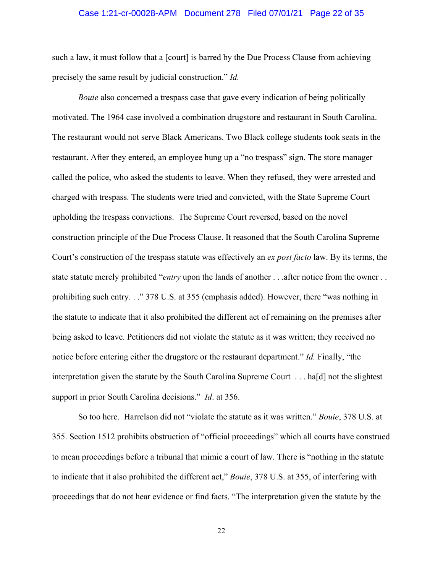## Case 1:21-cr-00028-APM Document 278 Filed 07/01/21 Page 22 of 35

such a law, it must follow that a [court] is barred by the Due Process Clause from achieving precisely the same result by judicial construction." *Id.* 

*Bouie* also concerned a trespass case that gave every indication of being politically motivated. The 1964 case involved a combination drugstore and restaurant in South Carolina. The restaurant would not serve Black Americans. Two Black college students took seats in the restaurant. After they entered, an employee hung up a "no trespass" sign. The store manager called the police, who asked the students to leave. When they refused, they were arrested and charged with trespass. The students were tried and convicted, with the State Supreme Court upholding the trespass convictions. The Supreme Court reversed, based on the novel construction principle of the Due Process Clause. It reasoned that the South Carolina Supreme Court's construction of the trespass statute was effectively an *ex post facto* law. By its terms, the state statute merely prohibited "*entry* upon the lands of another . . .after notice from the owner . . prohibiting such entry. . ." 378 U.S. at 355 (emphasis added). However, there "was nothing in the statute to indicate that it also prohibited the different act of remaining on the premises after being asked to leave. Petitioners did not violate the statute as it was written; they received no notice before entering either the drugstore or the restaurant department." *Id.* Finally, "the interpretation given the statute by the South Carolina Supreme Court . . . ha[d] not the slightest support in prior South Carolina decisions." *Id*. at 356.

So too here. Harrelson did not "violate the statute as it was written." *Bouie*, 378 U.S. at 355. Section 1512 prohibits obstruction of "official proceedings" which all courts have construed to mean proceedings before a tribunal that mimic a court of law. There is "nothing in the statute to indicate that it also prohibited the different act," *Bouie*, 378 U.S. at 355, of interfering with proceedings that do not hear evidence or find facts. "The interpretation given the statute by the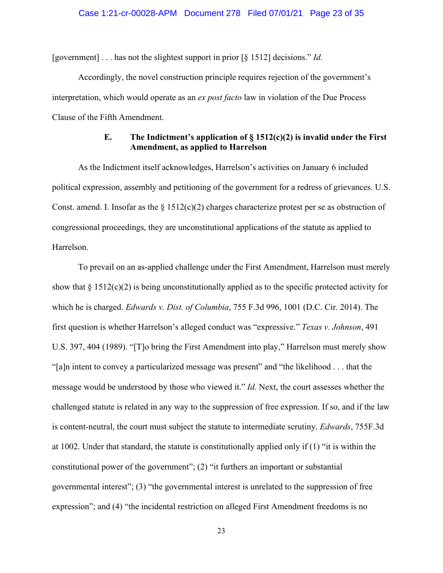[government] . . . has not the slightest support in prior [§ 1512] decisions." *Id.* 

Accordingly, the novel construction principle requires rejection of the government's interpretation, which would operate as an *ex post facto* law in violation of the Due Process Clause of the Fifth Amendment.

# **E. The Indictment's application of § 1512(c)(2) is invalid under the First Amendment, as applied to Harrelson**

As the Indictment itself acknowledges, Harrelson's activities on January 6 included political expression, assembly and petitioning of the government for a redress of grievances. U.S. Const. amend. I. Insofar as the  $\S 1512(c)(2)$  charges characterize protest per se as obstruction of congressional proceedings, they are unconstitutional applications of the statute as applied to Harrelson.

To prevail on an as-applied challenge under the First Amendment, Harrelson must merely show that  $\S 1512(c)(2)$  is being unconstitutionally applied as to the specific protected activity for which he is charged. *Edwards v. Dist. of Columbia*, 755 F.3d 996, 1001 (D.C. Cir. 2014). The first question is whether Harrelson's alleged conduct was "expressive." *Texas v. Johnson*, 491 U.S. 397, 404 (1989). "[T]o bring the First Amendment into play," Harrelson must merely show "[a]n intent to convey a particularized message was present" and "the likelihood . . . that the message would be understood by those who viewed it." *Id.* Next, the court assesses whether the challenged statute is related in any way to the suppression of free expression. If so, and if the law is content-neutral, the court must subject the statute to intermediate scrutiny. *Edwards*, 755F.3d at 1002. Under that standard, the statute is constitutionally applied only if (1) "it is within the constitutional power of the government"; (2) "it furthers an important or substantial governmental interest"; (3) "the governmental interest is unrelated to the suppression of free expression"; and (4) "the incidental restriction on alleged First Amendment freedoms is no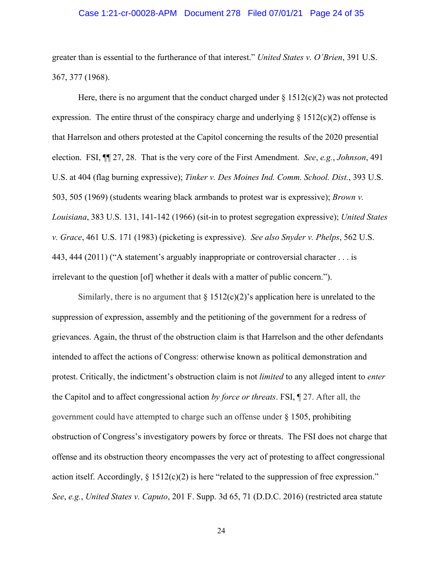## Case 1:21-cr-00028-APM Document 278 Filed 07/01/21 Page 24 of 35

greater than is essential to the furtherance of that interest." *United States v. O'Brien*, 391 U.S. 367, 377 (1968).

Here, there is no argument that the conduct charged under  $\S 1512(c)(2)$  was not protected expression. The entire thrust of the conspiracy charge and underlying  $\S 1512(c)(2)$  offense is that Harrelson and others protested at the Capitol concerning the results of the 2020 presential election. FSI, ¶¶ 27, 28. That is the very core of the First Amendment. *See*, *e.g.*, *Johnson*, 491 U.S. at 404 (flag burning expressive); *Tinker v. Des Moines Ind. Comm. School. Dist.*, 393 U.S. 503, 505 (1969) (students wearing black armbands to protest war is expressive); *Brown v. Louisiana*, 383 U.S. 131, 141-142 (1966) (sit-in to protest segregation expressive); *United States v. Grace*, 461 U.S. 171 (1983) (picketing is expressive). *See also Snyder v. Phelps*, 562 U.S. 443, 444 (2011) ("A statement's arguably inappropriate or controversial character . . . is irrelevant to the question [of] whether it deals with a matter of public concern.").

Similarly, there is no argument that  $\S 1512(c)(2)$ 's application here is unrelated to the suppression of expression, assembly and the petitioning of the government for a redress of grievances. Again, the thrust of the obstruction claim is that Harrelson and the other defendants intended to affect the actions of Congress: otherwise known as political demonstration and protest. Critically, the indictment's obstruction claim is not *limited* to any alleged intent to *enter*  the Capitol and to affect congressional action *by force or threats*. FSI, ¶ 27. After all, the government could have attempted to charge such an offense under § 1505, prohibiting obstruction of Congress's investigatory powers by force or threats. The FSI does not charge that offense and its obstruction theory encompasses the very act of protesting to affect congressional action itself. Accordingly,  $\S 1512(c)(2)$  is here "related to the suppression of free expression." *See*, *e.g.*, *United States v. Caputo*, 201 F. Supp. 3d 65, 71 (D.D.C. 2016) (restricted area statute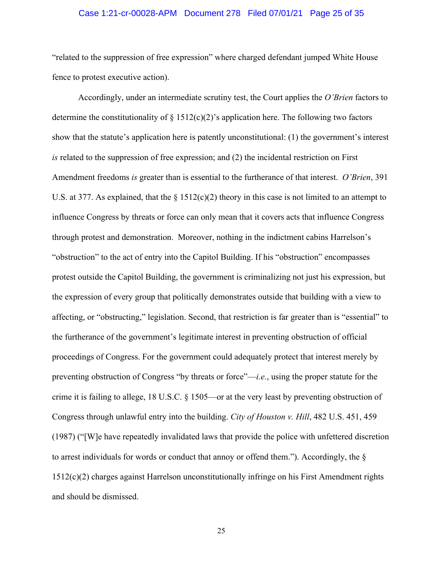## Case 1:21-cr-00028-APM Document 278 Filed 07/01/21 Page 25 of 35

"related to the suppression of free expression" where charged defendant jumped White House fence to protest executive action).

Accordingly, under an intermediate scrutiny test, the Court applies the *O'Brien* factors to determine the constitutionality of  $\S 1512(c)(2)$ 's application here. The following two factors show that the statute's application here is patently unconstitutional: (1) the government's interest *is* related to the suppression of free expression; and (2) the incidental restriction on First Amendment freedoms *is* greater than is essential to the furtherance of that interest. *O'Brien*, 391 U.S. at 377. As explained, that the  $\S 1512(c)(2)$  theory in this case is not limited to an attempt to influence Congress by threats or force can only mean that it covers acts that influence Congress through protest and demonstration. Moreover, nothing in the indictment cabins Harrelson's "obstruction" to the act of entry into the Capitol Building. If his "obstruction" encompasses protest outside the Capitol Building, the government is criminalizing not just his expression, but the expression of every group that politically demonstrates outside that building with a view to affecting, or "obstructing," legislation. Second, that restriction is far greater than is "essential" to the furtherance of the government's legitimate interest in preventing obstruction of official proceedings of Congress. For the government could adequately protect that interest merely by preventing obstruction of Congress "by threats or force"—*i.e.*, using the proper statute for the crime it is failing to allege, 18 U.S.C. § 1505—or at the very least by preventing obstruction of Congress through unlawful entry into the building. *City of Houston v. Hill*, 482 U.S. 451, 459 (1987) ("[W]e have repeatedly invalidated laws that provide the police with unfettered discretion to arrest individuals for words or conduct that annoy or offend them."). Accordingly, the § 1512(c)(2) charges against Harrelson unconstitutionally infringe on his First Amendment rights and should be dismissed.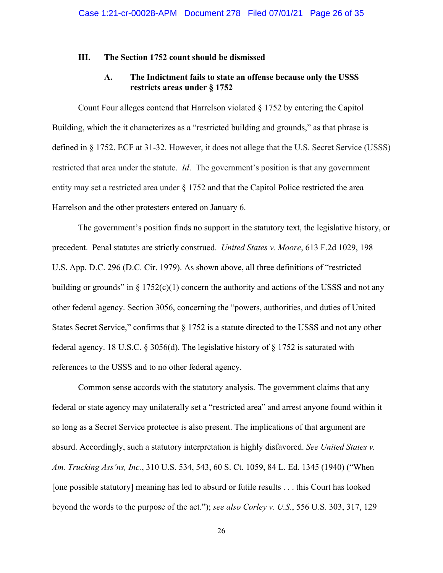## **III. The Section 1752 count should be dismissed**

# **A. The Indictment fails to state an offense because only the USSS restricts areas under § 1752**

Count Four alleges contend that Harrelson violated  $\S 1752$  by entering the Capitol Building, which the it characterizes as a "restricted building and grounds," as that phrase is defined in § 1752. ECF at 31-32. However, it does not allege that the U.S. Secret Service (USSS) restricted that area under the statute. *Id*. The government's position is that any government entity may set a restricted area under  $\S 1752$  and that the Capitol Police restricted the area Harrelson and the other protesters entered on January 6.

The government's position finds no support in the statutory text, the legislative history, or precedent. Penal statutes are strictly construed. *United States v. Moore*, 613 F.2d 1029, 198 U.S. App. D.C. 296 (D.C. Cir. 1979). As shown above, all three definitions of "restricted building or grounds" in  $\S 1752(c)(1)$  concern the authority and actions of the USSS and not any other federal agency. Section 3056, concerning the "powers, authorities, and duties of United States Secret Service," confirms that § 1752 is a statute directed to the USSS and not any other federal agency. 18 U.S.C. § 3056(d). The legislative history of § 1752 is saturated with references to the USSS and to no other federal agency.

Common sense accords with the statutory analysis. The government claims that any federal or state agency may unilaterally set a "restricted area" and arrest anyone found within it so long as a Secret Service protectee is also present. The implications of that argument are absurd. Accordingly, such a statutory interpretation is highly disfavored. *See United States v. Am. Trucking Ass'ns, Inc.*, 310 U.S. 534, 543, 60 S. Ct. 1059, 84 L. Ed. 1345 (1940) ("When [one possible statutory] meaning has led to absurd or futile results . . . this Court has looked beyond the words to the purpose of the act."); *see also Corley v. U.S.*, 556 U.S. 303, 317, 129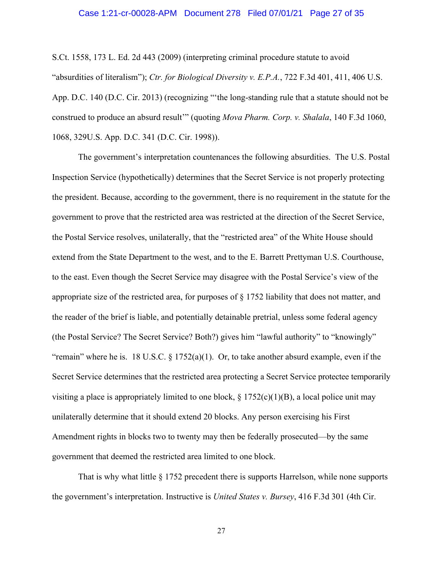## Case 1:21-cr-00028-APM Document 278 Filed 07/01/21 Page 27 of 35

S.Ct. 1558, 173 L. Ed. 2d 443 (2009) (interpreting criminal procedure statute to avoid "absurdities of literalism"); *Ctr. for Biological Diversity v. E.P.A.*, 722 F.3d 401, 411, 406 U.S. App. D.C. 140 (D.C. Cir. 2013) (recognizing "'the long-standing rule that a statute should not be construed to produce an absurd result'" (quoting *Mova Pharm. Corp. v. Shalala*, 140 F.3d 1060, 1068, 329U.S. App. D.C. 341 (D.C. Cir. 1998)).

The government's interpretation countenances the following absurdities. The U.S. Postal Inspection Service (hypothetically) determines that the Secret Service is not properly protecting the president. Because, according to the government, there is no requirement in the statute for the government to prove that the restricted area was restricted at the direction of the Secret Service, the Postal Service resolves, unilaterally, that the "restricted area" of the White House should extend from the State Department to the west, and to the E. Barrett Prettyman U.S. Courthouse, to the east. Even though the Secret Service may disagree with the Postal Service's view of the appropriate size of the restricted area, for purposes of § 1752 liability that does not matter, and the reader of the brief is liable, and potentially detainable pretrial, unless some federal agency (the Postal Service? The Secret Service? Both?) gives him "lawful authority" to "knowingly" "remain" where he is. 18 U.S.C.  $\S 1752(a)(1)$ . Or, to take another absurd example, even if the Secret Service determines that the restricted area protecting a Secret Service protectee temporarily visiting a place is appropriately limited to one block,  $\S 1752(c)(1)(B)$ , a local police unit may unilaterally determine that it should extend 20 blocks. Any person exercising his First Amendment rights in blocks two to twenty may then be federally prosecuted—by the same government that deemed the restricted area limited to one block.

That is why what little § 1752 precedent there is supports Harrelson, while none supports the government's interpretation. Instructive is *United States v. Bursey*, 416 F.3d 301 (4th Cir.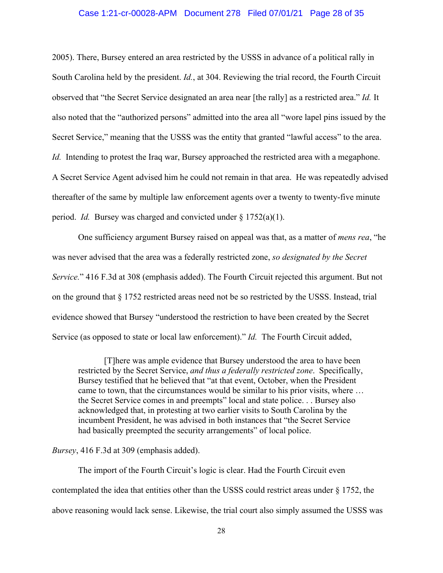## Case 1:21-cr-00028-APM Document 278 Filed 07/01/21 Page 28 of 35

2005). There, Bursey entered an area restricted by the USSS in advance of a political rally in South Carolina held by the president. *Id.*, at 304. Reviewing the trial record, the Fourth Circuit observed that "the Secret Service designated an area near [the rally] as a restricted area." *Id.* It also noted that the "authorized persons" admitted into the area all "wore lapel pins issued by the Secret Service," meaning that the USSS was the entity that granted "lawful access" to the area. *Id.* Intending to protest the Iraq war, Bursey approached the restricted area with a megaphone. A Secret Service Agent advised him he could not remain in that area. He was repeatedly advised thereafter of the same by multiple law enforcement agents over a twenty to twenty-five minute period. *Id.* Bursey was charged and convicted under § 1752(a)(1).

One sufficiency argument Bursey raised on appeal was that, as a matter of *mens rea*, "he was never advised that the area was a federally restricted zone, *so designated by the Secret Service.*" 416 F.3d at 308 (emphasis added). The Fourth Circuit rejected this argument. But not on the ground that § 1752 restricted areas need not be so restricted by the USSS. Instead, trial evidence showed that Bursey "understood the restriction to have been created by the Secret Service (as opposed to state or local law enforcement)." *Id.* The Fourth Circuit added,

[T]here was ample evidence that Bursey understood the area to have been restricted by the Secret Service, *and thus a federally restricted zone*. Specifically, Bursey testified that he believed that "at that event, October, when the President came to town, that the circumstances would be similar to his prior visits, where … the Secret Service comes in and preempts" local and state police. . . Bursey also acknowledged that, in protesting at two earlier visits to South Carolina by the incumbent President, he was advised in both instances that "the Secret Service had basically preempted the security arrangements" of local police.

## *Bursey*, 416 F.3d at 309 (emphasis added).

The import of the Fourth Circuit's logic is clear. Had the Fourth Circuit even contemplated the idea that entities other than the USSS could restrict areas under  $\S 1752$ , the above reasoning would lack sense. Likewise, the trial court also simply assumed the USSS was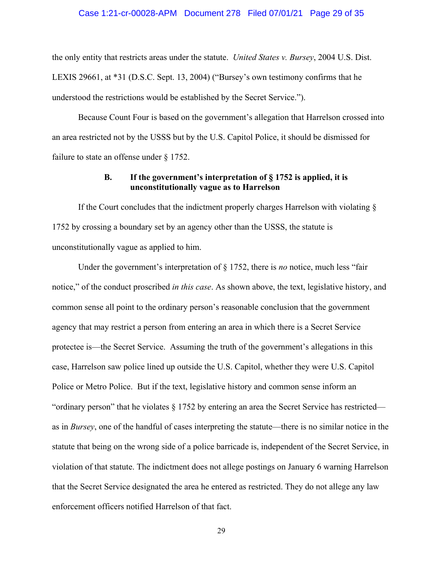#### Case 1:21-cr-00028-APM Document 278 Filed 07/01/21 Page 29 of 35

the only entity that restricts areas under the statute. *United States v. Bursey*, 2004 U.S. Dist. LEXIS 29661, at \*31 (D.S.C. Sept. 13, 2004) ("Bursey's own testimony confirms that he understood the restrictions would be established by the Secret Service.").

Because Count Four is based on the government's allegation that Harrelson crossed into an area restricted not by the USSS but by the U.S. Capitol Police, it should be dismissed for failure to state an offense under § 1752.

# **B. If the government's interpretation of § 1752 is applied, it is unconstitutionally vague as to Harrelson**

If the Court concludes that the indictment properly charges Harrelson with violating  $\S$ 1752 by crossing a boundary set by an agency other than the USSS, the statute is unconstitutionally vague as applied to him.

Under the government's interpretation of § 1752, there is *no* notice, much less "fair notice," of the conduct proscribed *in this case*. As shown above, the text, legislative history, and common sense all point to the ordinary person's reasonable conclusion that the government agency that may restrict a person from entering an area in which there is a Secret Service protectee is—the Secret Service. Assuming the truth of the government's allegations in this case, Harrelson saw police lined up outside the U.S. Capitol, whether they were U.S. Capitol Police or Metro Police. But if the text, legislative history and common sense inform an "ordinary person" that he violates  $\S 1752$  by entering an area the Secret Service has restricted as in *Bursey*, one of the handful of cases interpreting the statute—there is no similar notice in the statute that being on the wrong side of a police barricade is, independent of the Secret Service, in violation of that statute. The indictment does not allege postings on January 6 warning Harrelson that the Secret Service designated the area he entered as restricted. They do not allege any law enforcement officers notified Harrelson of that fact.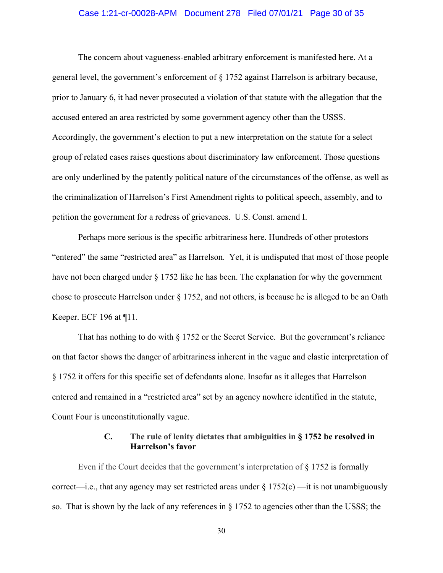## Case 1:21-cr-00028-APM Document 278 Filed 07/01/21 Page 30 of 35

The concern about vagueness-enabled arbitrary enforcement is manifested here. At a general level, the government's enforcement of § 1752 against Harrelson is arbitrary because, prior to January 6, it had never prosecuted a violation of that statute with the allegation that the accused entered an area restricted by some government agency other than the USSS. Accordingly, the government's election to put a new interpretation on the statute for a select group of related cases raises questions about discriminatory law enforcement. Those questions are only underlined by the patently political nature of the circumstances of the offense, as well as the criminalization of Harrelson's First Amendment rights to political speech, assembly, and to petition the government for a redress of grievances. U.S. Const. amend I.

Perhaps more serious is the specific arbitrariness here. Hundreds of other protestors "entered" the same "restricted area" as Harrelson. Yet, it is undisputed that most of those people have not been charged under § 1752 like he has been. The explanation for why the government chose to prosecute Harrelson under § 1752, and not others, is because he is alleged to be an Oath Keeper. ECF 196 at ¶11.

That has nothing to do with § 1752 or the Secret Service. But the government's reliance on that factor shows the danger of arbitrariness inherent in the vague and elastic interpretation of § 1752 it offers for this specific set of defendants alone. Insofar as it alleges that Harrelson entered and remained in a "restricted area" set by an agency nowhere identified in the statute, Count Four is unconstitutionally vague.

# **C. The rule of lenity dictates that ambiguities in § 1752 be resolved in Harrelson's favor**

Even if the Court decides that the government's interpretation of § 1752 is formally correct—i.e., that any agency may set restricted areas under  $\S 1752(c)$  —it is not unambiguously so. That is shown by the lack of any references in  $\S 1752$  to agencies other than the USSS; the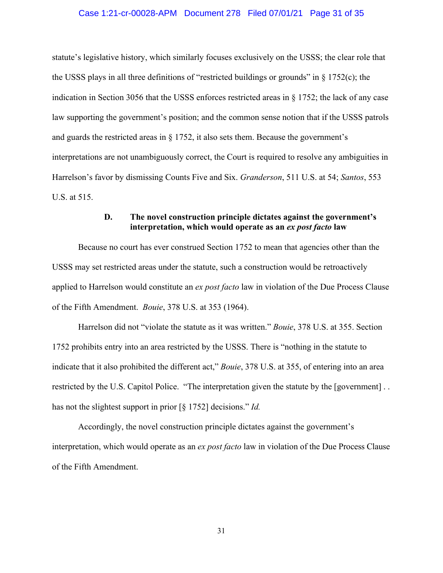## Case 1:21-cr-00028-APM Document 278 Filed 07/01/21 Page 31 of 35

statute's legislative history, which similarly focuses exclusively on the USSS; the clear role that the USSS plays in all three definitions of "restricted buildings or grounds" in  $\S$  1752(c); the indication in Section 3056 that the USSS enforces restricted areas in § 1752; the lack of any case law supporting the government's position; and the common sense notion that if the USSS patrols and guards the restricted areas in  $\S 1752$ , it also sets them. Because the government's interpretations are not unambiguously correct, the Court is required to resolve any ambiguities in Harrelson's favor by dismissing Counts Five and Six. *Granderson*, 511 U.S. at 54; *Santos*, 553 U.S. at 515.

# **D. The novel construction principle dictates against the government's interpretation, which would operate as an** *ex post facto* **law**

Because no court has ever construed Section 1752 to mean that agencies other than the USSS may set restricted areas under the statute, such a construction would be retroactively applied to Harrelson would constitute an *ex post facto* law in violation of the Due Process Clause of the Fifth Amendment. *Bouie*, 378 U.S. at 353 (1964).

Harrelson did not "violate the statute as it was written." *Bouie*, 378 U.S. at 355. Section 1752 prohibits entry into an area restricted by the USSS. There is "nothing in the statute to indicate that it also prohibited the different act," *Bouie*, 378 U.S. at 355, of entering into an area restricted by the U.S. Capitol Police. "The interpretation given the statute by the [government] . . has not the slightest support in prior [§ 1752] decisions." *Id.* 

Accordingly, the novel construction principle dictates against the government's interpretation, which would operate as an *ex post facto* law in violation of the Due Process Clause of the Fifth Amendment.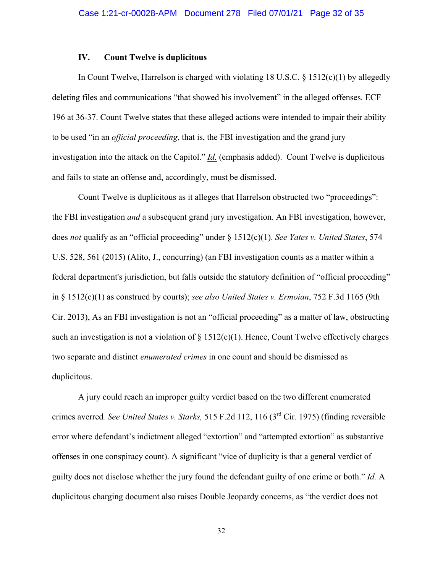### **IV. Count Twelve is duplicitous**

In Count Twelve, Harrelson is charged with violating 18 U.S.C.  $\S$  1512(c)(1) by allegedly deleting files and communications "that showed his involvement" in the alleged offenses. ECF 196 at 36-37. Count Twelve states that these alleged actions were intended to impair their ability to be used "in an *official proceeding*, that is, the FBI investigation and the grand jury investigation into the attack on the Capitol." *Id.* (emphasis added). Count Twelve is duplicitous and fails to state an offense and, accordingly, must be dismissed.

Count Twelve is duplicitous as it alleges that Harrelson obstructed two "proceedings": the FBI investigation *and* a subsequent grand jury investigation. An FBI investigation, however, does *not* qualify as an "official proceeding" under § 1512(c)(1). *See Yates v. United States*, 574 U.S. 528, 561 (2015) (Alito, J., concurring) (an FBI investigation counts as a matter within a federal department's jurisdiction, but falls outside the statutory definition of "official proceeding" in § 1512(c)(1) as construed by courts); *see also United States v. Ermoian*, 752 F.3d 1165 (9th Cir. 2013), As an FBI investigation is not an "official proceeding" as a matter of law, obstructing such an investigation is not a violation of  $\S 1512(c)(1)$ . Hence, Count Twelve effectively charges two separate and distinct *enumerated crimes* in one count and should be dismissed as duplicitous.

A jury could reach an improper guilty verdict based on the two different enumerated crimes averred*. See United States v. Starks,* 515 F.2d 112, 116 (3rd Cir. 1975) (finding reversible error where defendant's indictment alleged "extortion" and "attempted extortion" as substantive offenses in one conspiracy count). A significant "vice of duplicity is that a general verdict of guilty does not disclose whether the jury found the defendant guilty of one crime or both." *Id.* A duplicitous charging document also raises Double Jeopardy concerns, as "the verdict does not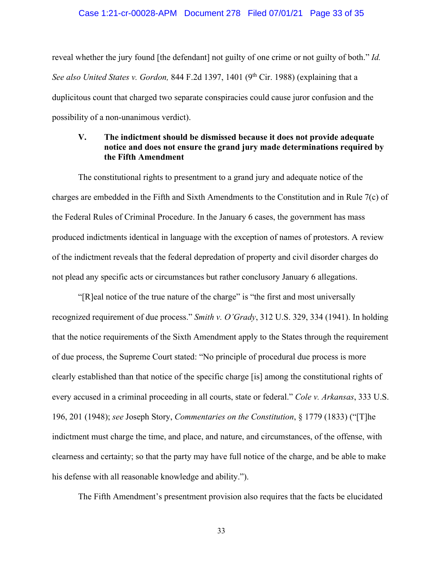#### Case 1:21-cr-00028-APM Document 278 Filed 07/01/21 Page 33 of 35

reveal whether the jury found [the defendant] not guilty of one crime or not guilty of both." *Id. See also United States v. Gordon,* 844 F.2d 1397, 1401 (9<sup>th</sup> Cir. 1988) (explaining that a duplicitous count that charged two separate conspiracies could cause juror confusion and the possibility of a non-unanimous verdict).

# **V. The indictment should be dismissed because it does not provide adequate notice and does not ensure the grand jury made determinations required by the Fifth Amendment**

The constitutional rights to presentment to a grand jury and adequate notice of the charges are embedded in the Fifth and Sixth Amendments to the Constitution and in Rule 7(c) of the Federal Rules of Criminal Procedure. In the January 6 cases, the government has mass produced indictments identical in language with the exception of names of protestors. A review of the indictment reveals that the federal depredation of property and civil disorder charges do not plead any specific acts or circumstances but rather conclusory January 6 allegations.

"[R]eal notice of the true nature of the charge" is "the first and most universally recognized requirement of due process." *Smith v. O'Grady*, 312 U.S. 329, 334 (1941). In holding that the notice requirements of the Sixth Amendment apply to the States through the requirement of due process, the Supreme Court stated: "No principle of procedural due process is more clearly established than that notice of the specific charge [is] among the constitutional rights of every accused in a criminal proceeding in all courts, state or federal." *Cole v. Arkansas*, 333 U.S. 196, 201 (1948); *see* Joseph Story, *Commentaries on the Constitution*, § 1779 (1833) ("[T]he indictment must charge the time, and place, and nature, and circumstances, of the offense, with clearness and certainty; so that the party may have full notice of the charge, and be able to make his defense with all reasonable knowledge and ability.").

The Fifth Amendment's presentment provision also requires that the facts be elucidated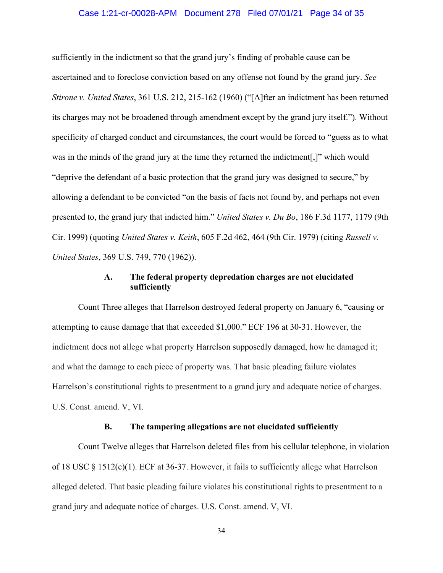## Case 1:21-cr-00028-APM Document 278 Filed 07/01/21 Page 34 of 35

sufficiently in the indictment so that the grand jury's finding of probable cause can be ascertained and to foreclose conviction based on any offense not found by the grand jury. *See Stirone v. United States*, 361 U.S. 212, 215-162 (1960) ("[A]fter an indictment has been returned its charges may not be broadened through amendment except by the grand jury itself."). Without specificity of charged conduct and circumstances, the court would be forced to "guess as to what was in the minds of the grand jury at the time they returned the indictment[,]" which would "deprive the defendant of a basic protection that the grand jury was designed to secure," by allowing a defendant to be convicted "on the basis of facts not found by, and perhaps not even presented to, the grand jury that indicted him." *United States v. Du Bo*, 186 F.3d 1177, 1179 (9th Cir. 1999) (quoting *United States v. Keith*, 605 F.2d 462, 464 (9th Cir. 1979) (citing *Russell v. United States*, 369 U.S. 749, 770 (1962)).

# **A. The federal property depredation charges are not elucidated sufficiently**

Count Three alleges that Harrelson destroyed federal property on January 6, "causing or attempting to cause damage that that exceeded \$1,000." ECF 196 at 30-31. However, the indictment does not allege what property Harrelson supposedly damaged, how he damaged it; and what the damage to each piece of property was. That basic pleading failure violates Harrelson's constitutional rights to presentment to a grand jury and adequate notice of charges. U.S. Const. amend. V, VI.

## **B. The tampering allegations are not elucidated sufficiently**

Count Twelve alleges that Harrelson deleted files from his cellular telephone, in violation of 18 USC  $\S$  1512(c)(1). ECF at 36-37. However, it fails to sufficiently allege what Harrelson alleged deleted. That basic pleading failure violates his constitutional rights to presentment to a grand jury and adequate notice of charges. U.S. Const. amend. V, VI.